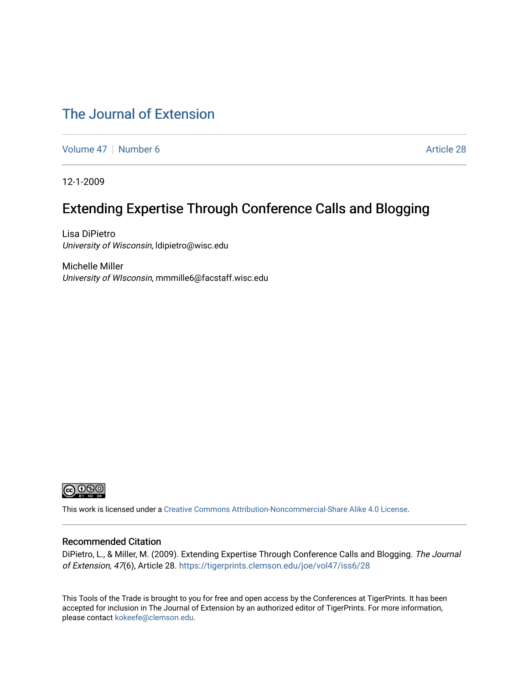#### [The Journal of Extension](https://tigerprints.clemson.edu/joe)

[Volume 47](https://tigerprints.clemson.edu/joe/vol47) | [Number 6](https://tigerprints.clemson.edu/joe/vol47/iss6) Article 28

12-1-2009

#### Extending Expertise Through Conference Calls and Blogging

Lisa DiPietro University of Wisconsin, ldipietro@wisc.edu

Michelle Miller University of WIsconsin, mmmille6@facstaff.wisc.edu



This work is licensed under a [Creative Commons Attribution-Noncommercial-Share Alike 4.0 License.](https://creativecommons.org/licenses/by-nc-sa/4.0/)

#### Recommended Citation

DiPietro, L., & Miller, M. (2009). Extending Expertise Through Conference Calls and Blogging. The Journal of Extension, 47(6), Article 28.<https://tigerprints.clemson.edu/joe/vol47/iss6/28>

This Tools of the Trade is brought to you for free and open access by the Conferences at TigerPrints. It has been accepted for inclusion in The Journal of Extension by an authorized editor of TigerPrints. For more information, please contact [kokeefe@clemson.edu](mailto:kokeefe@clemson.edu).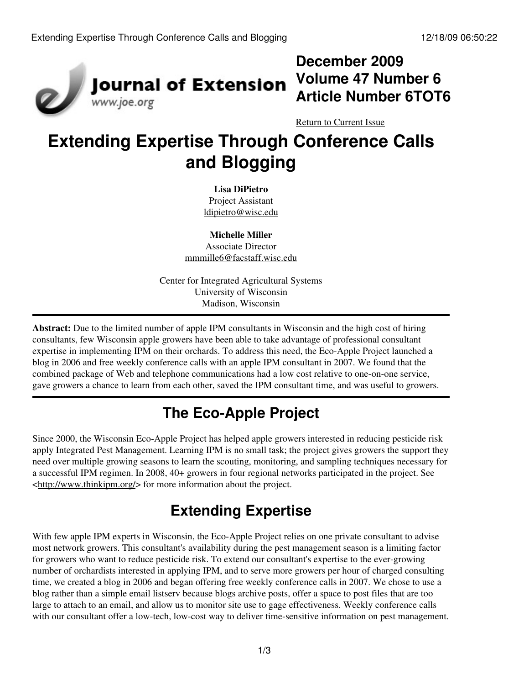

## **December 2009 Volume 47 Number 6 Article Number 6TOT6**

[Return to Current Issue](http://www.joe.org:80/joe/2009december/)

# **Extending Expertise Through Conference Calls and Blogging**

**Lisa DiPietro** Project Assistant [ldipietro@wisc.edu](mailto:ldipietro@wisc.edu)

**Michelle Miller** Associate Director [mmmille6@facstaff.wisc.edu](mailto:mmmille6@facstaff.wisc.edu)

Center for Integrated Agricultural Systems University of Wisconsin Madison, Wisconsin

**Abstract:** Due to the limited number of apple IPM consultants in Wisconsin and the high cost of hiring consultants, few Wisconsin apple growers have been able to take advantage of professional consultant expertise in implementing IPM on their orchards. To address this need, the Eco-Apple Project launched a blog in 2006 and free weekly conference calls with an apple IPM consultant in 2007. We found that the combined package of Web and telephone communications had a low cost relative to one-on-one service, gave growers a chance to learn from each other, saved the IPM consultant time, and was useful to growers.

## **The Eco-Apple Project**

Since 2000, the Wisconsin Eco-Apple Project has helped apple growers interested in reducing pesticide risk apply Integrated Pest Management. Learning IPM is no small task; the project gives growers the support they need over multiple growing seasons to learn the scouting, monitoring, and sampling techniques necessary for a successful IPM regimen. In 2008, 40+ growers in four regional networks participated in the project. See <[http://www.thinkipm.org/>](http://www.thinkipm.org/) for more information about the project.

# **Extending Expertise**

With few apple IPM experts in Wisconsin, the Eco-Apple Project relies on one private consultant to advise most network growers. This consultant's availability during the pest management season is a limiting factor for growers who want to reduce pesticide risk. To extend our consultant's expertise to the ever-growing number of orchardists interested in applying IPM, and to serve more growers per hour of charged consulting time, we created a blog in 2006 and began offering free weekly conference calls in 2007. We chose to use a blog rather than a simple email listserv because blogs archive posts, offer a space to post files that are too large to attach to an email, and allow us to monitor site use to gage effectiveness. Weekly conference calls with our consultant offer a low-tech, low-cost way to deliver time-sensitive information on pest management.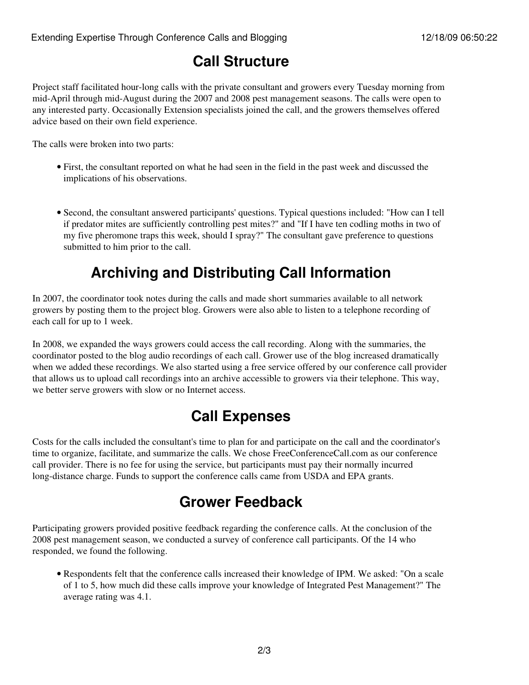## **Call Structure**

Project staff facilitated hour-long calls with the private consultant and growers every Tuesday morning from mid-April through mid-August during the 2007 and 2008 pest management seasons. The calls were open to any interested party. Occasionally Extension specialists joined the call, and the growers themselves offered advice based on their own field experience.

The calls were broken into two parts:

- First, the consultant reported on what he had seen in the field in the past week and discussed the implications of his observations.
- Second, the consultant answered participants' questions. Typical questions included: "How can I tell if predator mites are sufficiently controlling pest mites?" and "If I have ten codling moths in two of my five pheromone traps this week, should I spray?" The consultant gave preference to questions submitted to him prior to the call.

## **Archiving and Distributing Call Information**

In 2007, the coordinator took notes during the calls and made short summaries available to all network growers by posting them to the project blog. Growers were also able to listen to a telephone recording of each call for up to 1 week.

In 2008, we expanded the ways growers could access the call recording. Along with the summaries, the coordinator posted to the blog audio recordings of each call. Grower use of the blog increased dramatically when we added these recordings. We also started using a free service offered by our conference call provider that allows us to upload call recordings into an archive accessible to growers via their telephone. This way, we better serve growers with slow or no Internet access.

#### **Call Expenses**

Costs for the calls included the consultant's time to plan for and participate on the call and the coordinator's time to organize, facilitate, and summarize the calls. We chose FreeConferenceCall.com as our conference call provider. There is no fee for using the service, but participants must pay their normally incurred long-distance charge. Funds to support the conference calls came from USDA and EPA grants.

## **Grower Feedback**

Participating growers provided positive feedback regarding the conference calls. At the conclusion of the 2008 pest management season, we conducted a survey of conference call participants. Of the 14 who responded, we found the following.

Respondents felt that the conference calls increased their knowledge of IPM. We asked: "On a scale • of 1 to 5, how much did these calls improve your knowledge of Integrated Pest Management?" The average rating was 4.1.